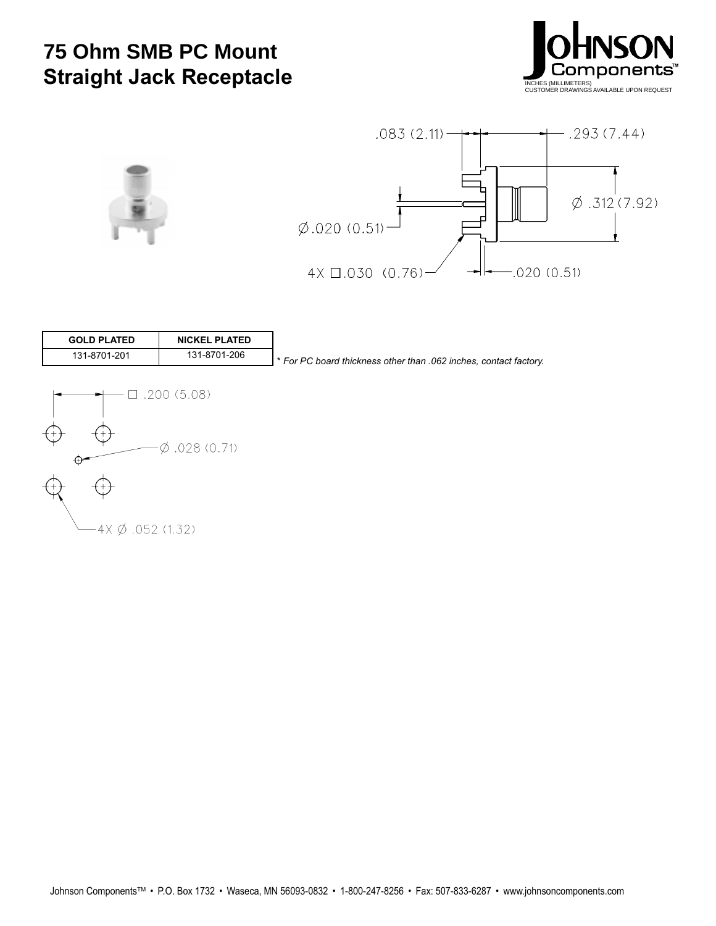## **75 Ohm SMB PC Mount Straight Jack Receptacle**







| <b>GOLD PLATED</b> | <b>NICKEL PLATED</b> |                                                                   |
|--------------------|----------------------|-------------------------------------------------------------------|
| 131-8701-201       | 131-8701-206         | ↑ For PC board thickness other than .062 inches, contact factory. |